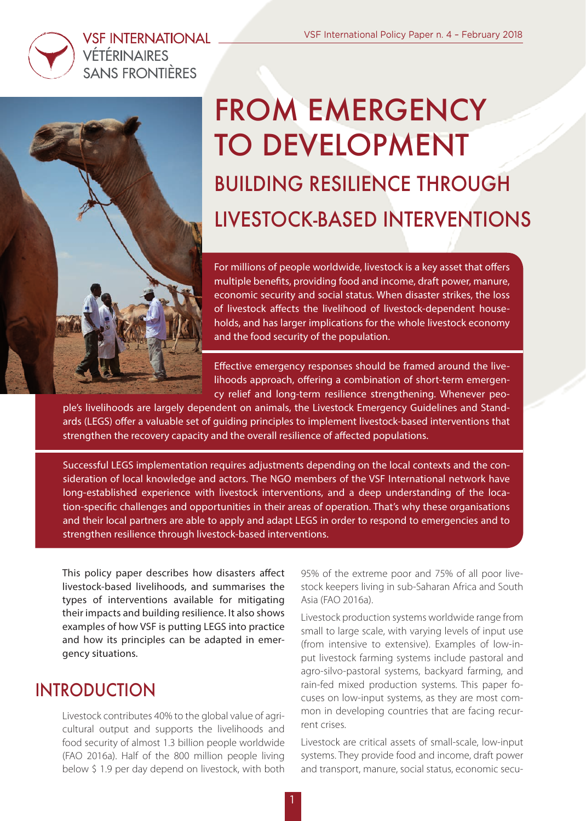

### **VSF INTERNATIONAL VÉTÉRINAIRES SANS FRONTIÈRES**



# FROM EMERGENCY TO DEVELOPMENT BUILDING RESILIENCE THROUGH LIVESTOCK-BASED INTERVENTIONS

For millions of people worldwide, livestock is a key asset that offers multiple benefts, providing food and income, draft power, manure, economic security and social status. When disaster strikes, the loss of livestock affects the livelihood of livestock-dependent households, and has larger implications for the whole livestock economy and the food security of the population.

Efective emergency responses should be framed around the livelihoods approach, offering a combination of short-term emergency relief and long-term resilience strengthening. Whenever peo-

ple's livelihoods are largely dependent on animals, the Livestock Emergency Guidelines and Standards (LEGS) offer a valuable set of quiding principles to implement livestock-based interventions that strengthen the recovery capacity and the overall resilience of afected populations.

Successful LEGS implementation requires adjustments depending on the local contexts and the consideration of local knowledge and actors. The NGO members of the VSF International network have long-established experience with livestock interventions, and a deep understanding of the location-specifc challenges and opportunities in their areas of operation. That's why these organisations and their local partners are able to apply and adapt LEGS in order to respond to emergencies and to strengthen resilience through livestock-based interventions.

1

This policy paper describes how disasters affect livestock-based livelihoods, and summarises the types of interventions available for mitigating their impacts and building resilience. It also shows examples of how VSF is putting LEGS into practice and how its principles can be adapted in emergency situations.

### INTRODUCTION

Livestock contributes 40% to the global value of agricultural output and supports the livelihoods and food security of almost 1.3 billion people worldwide (FAO 2016a). Half of the 800 million people living below \$ 1.9 per day depend on livestock, with both 95% of the extreme poor and 75% of all poor livestock keepers living in sub-Saharan Africa and South Asia (FAO 2016a).

Livestock production systems worldwide range from small to large scale, with varying levels of input use (from intensive to extensive). Examples of low-input livestock farming systems include pastoral and agro-silvo-pastoral systems, backyard farming, and rain-fed mixed production systems. This paper focuses on low-input systems, as they are most common in developing countries that are facing recurrent crises.

Livestock are critical assets of small-scale, low-input systems. They provide food and income, draft power and transport, manure, social status, economic secu-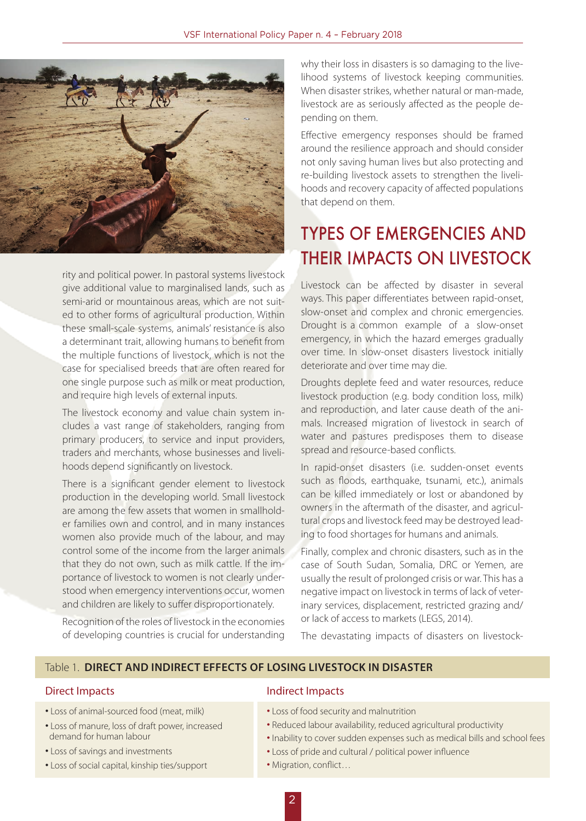

rity and political power. In pastoral systems livestock give additional value to marginalised lands, such as semi-arid or mountainous areas, which are not suited to other forms of agricultural production. Within these small-scale systems, animals' resistance is also a determinant trait, allowing humans to benefit from the multiple functions of livestock, which is not the case for specialised breeds that are often reared for one single purpose such as milk or meat production, and require high levels of external inputs.

The livestock economy and value chain system includes a vast range of stakeholders, ranging from primary producers, to service and input providers, traders and merchants, whose businesses and livelihoods depend significantly on livestock.

There is a significant gender element to livestock production in the developing world. Small livestock are among the few assets that women in smallholder families own and control, and in many instances women also provide much of the labour, and may control some of the income from the larger animals that they do not own, such as milk cattle. If the importance of livestock to women is not clearly understood when emergency interventions occur, women and children are likely to suffer disproportionately.

Recognition of the roles of livestock in the economies of developing countries is crucial for understanding

why their loss in disasters is so damaging to the livelihood systems of livestock keeping communities. When disaster strikes, whether natural or man-made, livestock are as seriously affected as the people depending on them.

Effective emergency responses should be framed around the resilience approach and should consider not only saving human lives but also protecting and re-building livestock assets to strengthen the livelihoods and recovery capacity of affected populations that depend on them.

## TYPES OF EMERGENCIES AND THEIR IMPACTS ON LIVESTOCK

Livestock can be affected by disaster in several ways. This paper differentiates between rapid-onset, slow-onset and complex and chronic emergencies. Drought is a common example of a slow-onset emergency, in which the hazard emerges gradually over time. In slow-onset disasters livestock initially deteriorate and over time may die.

Droughts deplete feed and water resources, reduce livestock production (e.g. body condition loss, milk) and reproduction, and later cause death of the animals. Increased migration of livestock in search of water and pastures predisposes them to disease spread and resource-based conflicts.

In rapid-onset disasters (i.e. sudden-onset events such as floods, earthquake, tsunami, etc.), animals can be killed immediately or lost or abandoned by owners in the aftermath of the disaster, and agricultural crops and livestock feed may be destroyed leading to food shortages for humans and animals.

Finally, complex and chronic disasters, such as in the case of South Sudan, Somalia, DRC or Yemen, are usually the result of prolonged crisis or war. This has a negative impact on livestock in terms of lack of veterinary services, displacement, restricted grazing and/ or lack of access to markets (LEGS, 2014).

The devastating impacts of disasters on livestock-

#### Table 1. **DIRECT AND INDIRECT EFFECTS OF LOSING LIVESTOCK IN DISASTER**

- Loss of animal-sourced food (meat, milk)
- Loss of manure, loss of draft power, increased demand for human labour
- Loss of savings and investments
- Loss of social capital, kinship ties/support

#### Direct Impacts **Indirect Impacts**

- Loss of food security and malnutrition
- Reduced labour availability, reduced agricultural productivity
- Inability to cover sudden expenses such as medical bills and school fees
- Loss of pride and cultural / political power influence
- Migration, conflict…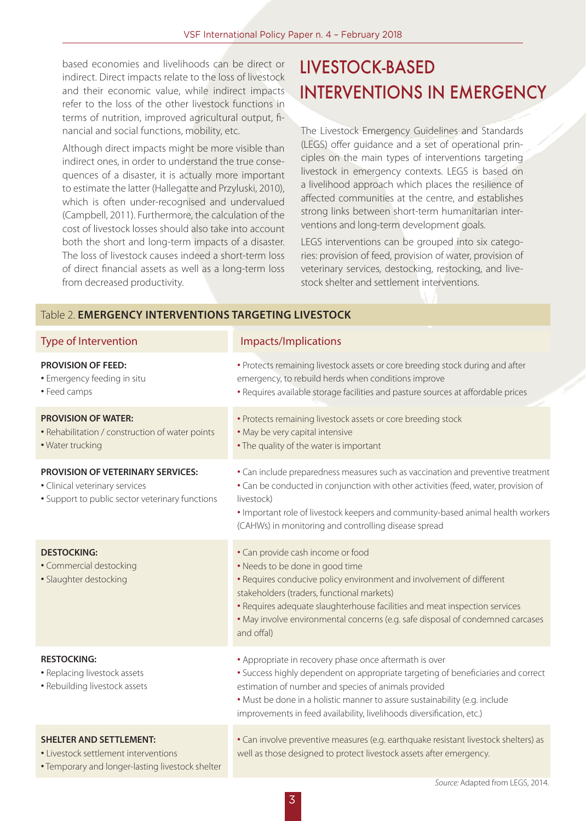based economies and livelihoods can be direct or indirect. Direct impacts relate to the loss of livestock and their economic value, while indirect impacts refer to the loss of the other livestock functions in terms of nutrition, improved agricultural output, financial and social functions, mobility, etc.

Although direct impacts might be more visible than indirect ones, in order to understand the true consequences of a disaster, it is actually more important to estimate the latter (Hallegatte and Przyluski, 2010), which is often under-recognised and undervalued (Campbell, 2011). Furthermore, the calculation of the cost of livestock losses should also take into account both the short and long-term impacts of a disaster. The loss of livestock causes indeed a short-term loss of direct financial assets as well as a long-term loss from decreased productivity.

## LIVESTOCK-BASED INTERVENTIONS IN EMERGENCY

The Livestock Emergency Guidelines and Standards (LEGS) offer guidance and a set of operational principles on the main types of interventions targeting livestock in emergency contexts. LEGS is based on a livelihood approach which places the resilience of affected communities at the centre, and establishes strong links between short-term humanitarian interventions and long-term development goals.

LEGS interventions can be grouped into six categories: provision of feed, provision of water, provision of veterinary services, destocking, restocking, and livestock shelter and settlement interventions.

#### Table 2. **EMERGENCY INTERVENTIONS TARGETING LIVESTOCK**

| <b>Type of Intervention</b>                                                                                                   | Impacts/Implications                                                                                                                                                                                                                                                                                                                                                     |
|-------------------------------------------------------------------------------------------------------------------------------|--------------------------------------------------------------------------------------------------------------------------------------------------------------------------------------------------------------------------------------------------------------------------------------------------------------------------------------------------------------------------|
| <b>PROVISION OF FEED:</b><br>· Emergency feeding in situ<br>• Feed camps                                                      | • Protects remaining livestock assets or core breeding stock during and after<br>emergency, to rebuild herds when conditions improve<br>. Requires available storage facilities and pasture sources at affordable prices                                                                                                                                                 |
| <b>PROVISION OF WATER:</b><br>• Rehabilitation / construction of water points<br>· Water trucking                             | • Protects remaining livestock assets or core breeding stock<br>. May be very capital intensive<br>• The quality of the water is important                                                                                                                                                                                                                               |
| <b>PROVISION OF VETERINARY SERVICES:</b><br>· Clinical veterinary services<br>• Support to public sector veterinary functions | • Can include preparedness measures such as vaccination and preventive treatment<br>• Can be conducted in conjunction with other activities (feed, water, provision of<br>livestock)<br>. Important role of livestock keepers and community-based animal health workers<br>(CAHWs) in monitoring and controlling disease spread                                          |
| <b>DESTOCKING:</b><br>· Commercial destocking<br>· Slaughter destocking                                                       | • Can provide cash income or food<br>• Needs to be done in good time<br>• Requires conducive policy environment and involvement of different<br>stakeholders (traders, functional markets)<br>• Requires adequate slaughterhouse facilities and meat inspection services<br>. May involve environmental concerns (e.g. safe disposal of condemned carcases<br>and offal) |
| <b>RESTOCKING:</b><br>• Replacing livestock assets<br>· Rebuilding livestock assets                                           | • Appropriate in recovery phase once aftermath is over<br>• Success highly dependent on appropriate targeting of beneficiaries and correct<br>estimation of number and species of animals provided<br>. Must be done in a holistic manner to assure sustainability (e.g. include<br>improvements in feed availability, livelihoods diversification, etc.)                |
| <b>SHELTER AND SETTLEMENT:</b><br>• Livestock settlement interventions<br>• Temporary and longer-lasting livestock shelter    | • Can involve preventive measures (e.g. earthquake resistant livestock shelters) as<br>well as those designed to protect livestock assets after emergency.                                                                                                                                                                                                               |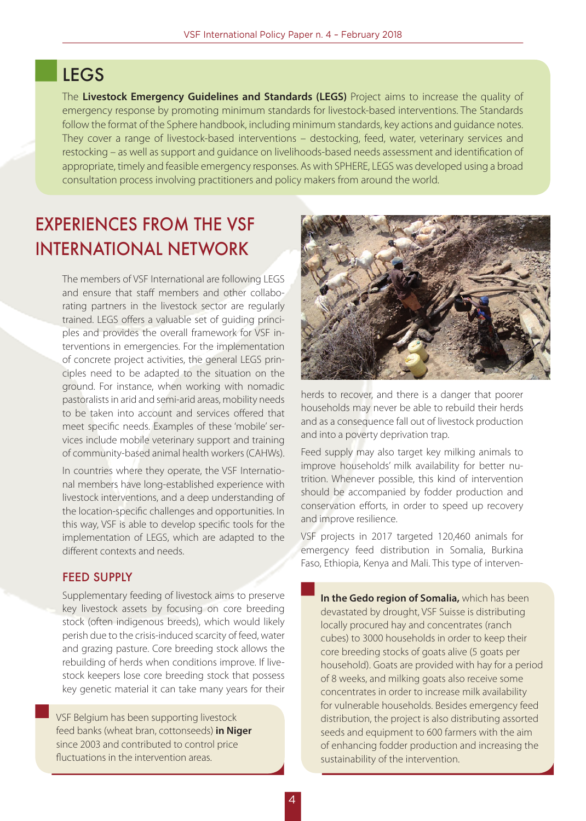### LEGS

The **Livestock Emergency Guidelines and Standards (LEGS)** Project aims to increase the quality of emergency response by promoting minimum standards for livestock-based interventions. The Standards follow the format of the Sphere handbook, including minimum standards, key actions and guidance notes. They cover a range of livestock-based interventions – destocking, feed, water, veterinary services and restocking – as well as support and guidance on livelihoods-based needs assessment and identification of appropriate, timely and feasible emergency responses. As with SPHERE, LEGS was developed using a broad consultation process involving practitioners and policy makers from around the world.

## EXPERIENCES FROM THE VSF INTERNATIONAL NETWORK

The members of VSF International are following LEGS and ensure that staff members and other collaborating partners in the livestock sector are regularly trained. LEGS offers a valuable set of guiding principles and provides the overall framework for VSF interventions in emergencies. For the implementation of concrete project activities, the general LEGS principles need to be adapted to the situation on the ground. For instance, when working with nomadic pastoralists in arid and semi-arid areas, mobility needs to be taken into account and services offered that meet specific needs. Examples of these 'mobile' services include mobile veterinary support and training of community-based animal health workers (CAHWs).

In countries where they operate, the VSF International members have long-established experience with livestock interventions, and a deep understanding of the location-specific challenges and opportunities. In this way, VSF is able to develop specific tools for the implementation of LEGS, which are adapted to the different contexts and needs.

#### FEED SUPPLY

Supplementary feeding of livestock aims to preserve key livestock assets by focusing on core breeding stock (often indigenous breeds), which would likely perish due to the crisis-induced scarcity of feed, water and grazing pasture. Core breeding stock allows the rebuilding of herds when conditions improve. If livestock keepers lose core breeding stock that possess key genetic material it can take many years for their

VSF Belgium has been supporting livestock feed banks (wheat bran, cottonseeds) **in Niger**  since 2003 and contributed to control price fluctuations in the intervention areas.



herds to recover, and there is a danger that poorer households may never be able to rebuild their herds and as a consequence fall out of livestock production and into a poverty deprivation trap.

Feed supply may also target key milking animals to improve households' milk availability for better nutrition. Whenever possible, this kind of intervention should be accompanied by fodder production and conservation efforts, in order to speed up recovery and improve resilience.

VSF projects in 2017 targeted 120,460 animals for emergency feed distribution in Somalia, Burkina Faso, Ethiopia, Kenya and Mali. This type of interven-

**In the Gedo region of Somalia,** which has been devastated by drought, VSF Suisse is distributing locally procured hay and concentrates (ranch cubes) to 3000 households in order to keep their core breeding stocks of goats alive (5 goats per household). Goats are provided with hay for a period of 8 weeks, and milking goats also receive some concentrates in order to increase milk availability for vulnerable households. Besides emergency feed distribution, the project is also distributing assorted seeds and equipment to 600 farmers with the aim of enhancing fodder production and increasing the sustainability of the intervention.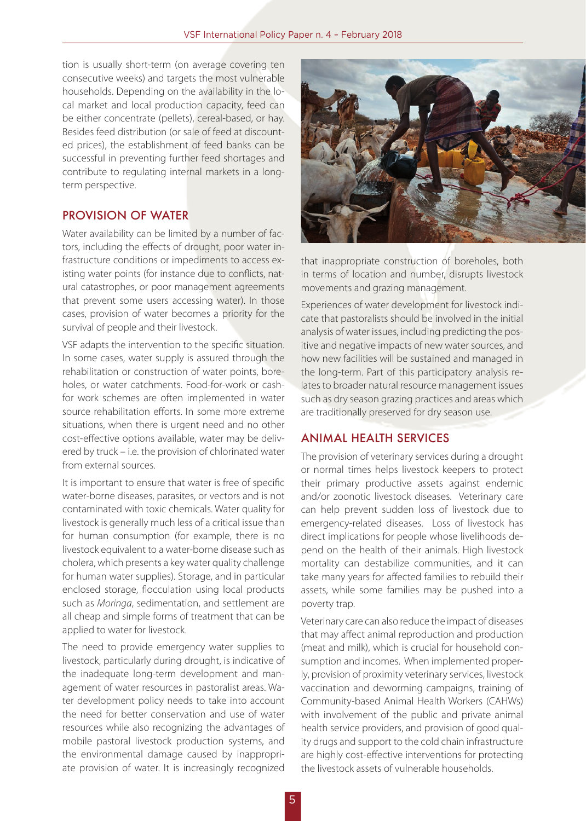tion is usually short-term (on average covering ten consecutive weeks) and targets the most vulnerable households. Depending on the availability in the local market and local production capacity, feed can be either concentrate (pellets), cereal-based, or hay. Besides feed distribution (or sale of feed at discounted prices), the establishment of feed banks can be successful in preventing further feed shortages and contribute to regulating internal markets in a longterm perspective.

#### PROVISION OF WATER

Water availability can be limited by a number of factors, including the effects of drought, poor water infrastructure conditions or impediments to access existing water points (for instance due to conflicts, natural catastrophes, or poor management agreements that prevent some users accessing water). In those cases, provision of water becomes a priority for the survival of people and their livestock.

VSF adapts the intervention to the specific situation. In some cases, water supply is assured through the rehabilitation or construction of water points, boreholes, or water catchments. Food-for-work or cashfor work schemes are often implemented in water source rehabilitation efforts. In some more extreme situations, when there is urgent need and no other cost-effective options available, water may be delivered by truck – i.e. the provision of chlorinated water from external sources.

It is important to ensure that water is free of specific water-borne diseases, parasites, or vectors and is not contaminated with toxic chemicals. Water quality for livestock is generally much less of a critical issue than for human consumption (for example, there is no livestock equivalent to a water-borne disease such as cholera, which presents a key water quality challenge for human water supplies). Storage, and in particular enclosed storage, flocculation using local products such as *Moringa*, sedimentation, and settlement are all cheap and simple forms of treatment that can be applied to water for livestock.

The need to provide emergency water supplies to livestock, particularly during drought, is indicative of the inadequate long-term development and management of water resources in pastoralist areas. Water development policy needs to take into account the need for better conservation and use of water resources while also recognizing the advantages of mobile pastoral livestock production systems, and the environmental damage caused by inappropriate provision of water. It is increasingly recognized



that inappropriate construction of boreholes, both in terms of location and number, disrupts livestock movements and grazing management.

Experiences of water development for livestock indicate that pastoralists should be involved in the initial analysis of water issues, including predicting the positive and negative impacts of new water sources, and how new facilities will be sustained and managed in the long-term. Part of this participatory analysis relates to broader natural resource management issues such as dry season grazing practices and areas which are traditionally preserved for dry season use.

#### ANIMAL HEALTH SERVICES

The provision of veterinary services during a drought or normal times helps livestock keepers to protect their primary productive assets against endemic and/or zoonotic livestock diseases. Veterinary care can help prevent sudden loss of livestock due to emergency-related diseases. Loss of livestock has direct implications for people whose livelihoods depend on the health of their animals. High livestock mortality can destabilize communities, and it can take many years for affected families to rebuild their assets, while some families may be pushed into a poverty trap.

Veterinary care can also reduce the impact of diseases that may affect animal reproduction and production (meat and milk), which is crucial for household consumption and incomes. When implemented properly, provision of proximity veterinary services, livestock vaccination and deworming campaigns, training of Community-based Animal Health Workers (CAHWs) with involvement of the public and private animal health service providers, and provision of good quality drugs and support to the cold chain infrastructure are highly cost-effective interventions for protecting the livestock assets of vulnerable households.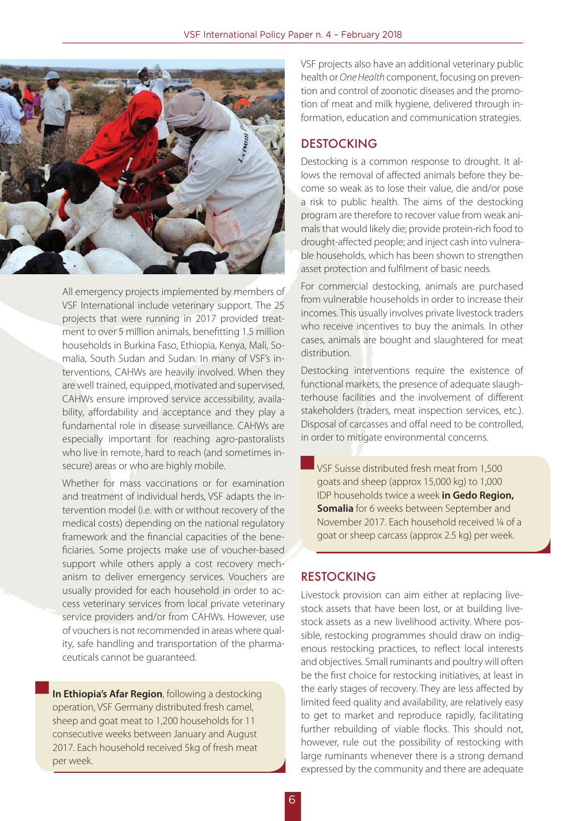

All emergency projects implemented by members of VSF International include veterinary support. The 25 projects that were running in 2017 provided treatment to over 5 million animals, benefitting 1.5 million households in Burkina Faso, Ethiopia, Kenya, Mali, Somalia, South Sudan and Sudan. In many of VSF's interventions, CAHWs are heavily involved. When they are well trained, equipped, motivated and supervised, CAHWs ensure improved service accessibility, availability, affordability and acceptance and they play a fundamental role in disease surveillance. CAHWs are especially important for reaching agro-pastoralists who live in remote, hard to reach (and sometimes insecure) areas or who are highly mobile.

Whether for mass vaccinations or for examination and treatment of individual herds, VSF adapts the intervention model (i.e. with or without recovery of the medical costs) depending on the national regulatory framework and the financial capacities of the beneficiaries. Some projects make use of voucher-based support while others apply a cost recovery mechanism to deliver emergency services. Vouchers are usually provided for each household in order to access veterinary services from local private veterinary service providers and/or from CAHWs. However, use of vouchers is not recommended in areas where quality, safe handling and transportation of the pharmaceuticals cannot be guaranteed.

**In Ethiopia's Afar Region**, following a destocking operation, VSF Germany distributed fresh camel, sheep and goat meat to 1,200 households for 11 consecutive weeks between January and August 2017. Each household received 5kg of fresh meat per week.

VSF projects also have an additional veterinary public health or *One Health* component, focusing on prevention and control of zoonotic diseases and the promotion of meat and milk hygiene, delivered through information, education and communication strategies.

#### DESTOCKING

Destocking is a common response to drought. It allows the removal of affected animals before they become so weak as to lose their value, die and/or pose a risk to public health. The aims of the destocking program are therefore to recover value from weak animals that would likely die; provide protein-rich food to drought-affected people; and inject cash into vulnerable households, which has been shown to strengthen asset protection and fulfilment of basic needs.

For commercial destocking, animals are purchased from vulnerable households in order to increase their incomes. This usually involves private livestock traders who receive incentives to buy the animals. In other cases, animals are bought and slaughtered for meat distribution.

Destocking interventions require the existence of functional markets, the presence of adequate slaughterhouse facilities and the involvement of different stakeholders (traders, meat inspection services, etc.). Disposal of carcasses and offal need to be controlled, in order to mitigate environmental concerns.

VSF Suisse distributed fresh meat from 1,500 goats and sheep (approx 15,000 kg) to 1,000 IDP households twice a week **in Gedo Region, Somalia** for 6 weeks between September and November 2017. Each household received ¼ of a goat or sheep carcass (approx 2.5 kg) per week.

#### RESTOCKING

Livestock provision can aim either at replacing livestock assets that have been lost, or at building livestock assets as a new livelihood activity. Where possible, restocking programmes should draw on indigenous restocking practices, to reflect local interests and objectives. Small ruminants and poultry will often be the first choice for restocking initiatives, at least in the early stages of recovery. They are less affected by limited feed quality and availability, are relatively easy to get to market and reproduce rapidly, facilitating further rebuilding of viable flocks. This should not, however, rule out the possibility of restocking with large ruminants whenever there is a strong demand expressed by the community and there are adequate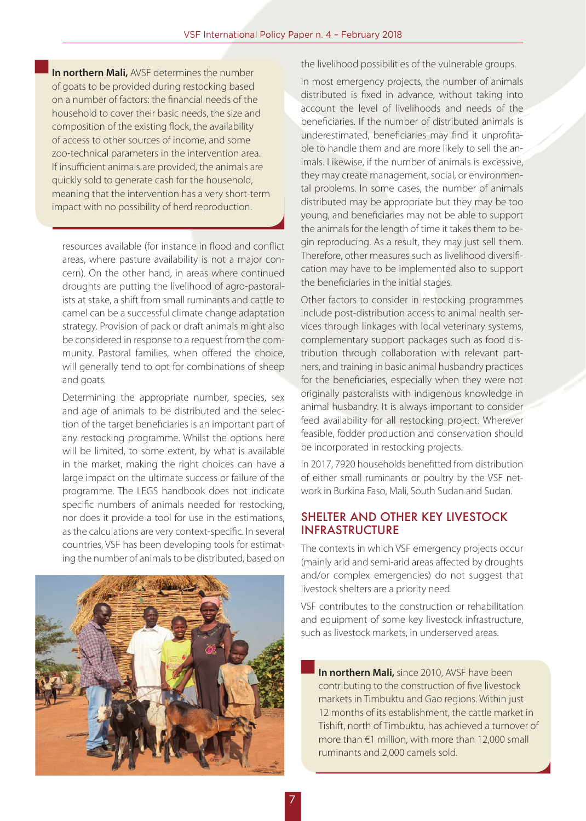**In northern Mali,** AVSF determines the number of goats to be provided during restocking based on a number of factors: the financial needs of the household to cover their basic needs, the size and composition of the existing flock, the availability of access to other sources of income, and some zoo-technical parameters in the intervention area. If insufficient animals are provided, the animals are quickly sold to generate cash for the household, meaning that the intervention has a very short-term impact with no possibility of herd reproduction.

resources available (for instance in flood and conflict areas, where pasture availability is not a major concern). On the other hand, in areas where continued droughts are putting the livelihood of agro-pastoralists at stake, a shift from small ruminants and cattle to camel can be a successful climate change adaptation strategy. Provision of pack or draft animals might also be considered in response to a request from the community. Pastoral families, when offered the choice, will generally tend to opt for combinations of sheep and goats.

Determining the appropriate number, species, sex and age of animals to be distributed and the selection of the target beneficiaries is an important part of any restocking programme. Whilst the options here will be limited, to some extent, by what is available in the market, making the right choices can have a large impact on the ultimate success or failure of the programme. The LEGS handbook does not indicate specific numbers of animals needed for restocking, nor does it provide a tool for use in the estimations, as the calculations are very context-specific. In several countries, VSF has been developing tools for estimating the number of animals to be distributed, based on



the livelihood possibilities of the vulnerable groups.

In most emergency projects, the number of animals distributed is fixed in advance, without taking into account the level of livelihoods and needs of the beneficiaries. If the number of distributed animals is underestimated, beneficiaries may find it unprofitable to handle them and are more likely to sell the animals. Likewise, if the number of animals is excessive, they may create management, social, or environmental problems. In some cases, the number of animals distributed may be appropriate but they may be too young, and beneficiaries may not be able to support the animals for the length of time it takes them to begin reproducing. As a result, they may just sell them. Therefore, other measures such as livelihood diversification may have to be implemented also to support the beneficiaries in the initial stages.

Other factors to consider in restocking programmes include post-distribution access to animal health services through linkages with local veterinary systems, complementary support packages such as food distribution through collaboration with relevant partners, and training in basic animal husbandry practices for the beneficiaries, especially when they were not originally pastoralists with indigenous knowledge in animal husbandry. It is always important to consider feed availability for all restocking project. Wherever feasible, fodder production and conservation should be incorporated in restocking projects.

In 2017, 7920 households benefitted from distribution of either small ruminants or poultry by the VSF network in Burkina Faso, Mali, South Sudan and Sudan.

#### SHELTER AND OTHER KEY LIVESTOCK INFRASTRUCTURE

The contexts in which VSF emergency projects occur (mainly arid and semi-arid areas affected by droughts and/or complex emergencies) do not suggest that livestock shelters are a priority need.

VSF contributes to the construction or rehabilitation and equipment of some key livestock infrastructure, such as livestock markets, in underserved areas.

**In northern Mali,** since 2010, AVSF have been contributing to the construction of five livestock markets in Timbuktu and Gao regions. Within just 12 months of its establishment, the cattle market in Tishift, north of Timbuktu, has achieved a turnover of more than €1 million, with more than 12,000 small ruminants and 2,000 camels sold.